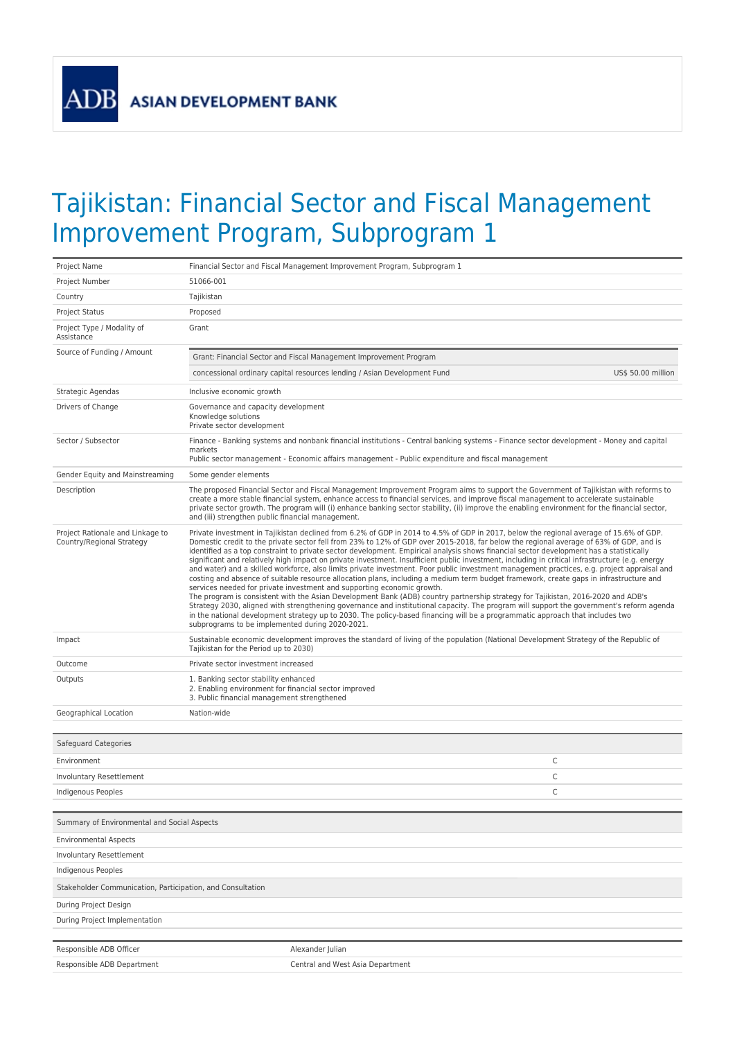**ADB** 

## Tajikistan: Financial Sector and Fiscal Management Improvement Program, Subprogram 1

| Project Name                                                  | Financial Sector and Fiscal Management Improvement Program, Subprogram 1                                                                                                                                                                                                                                                                                                                                                                                                                                                                                                                                                                                                                                                                                                                                                                                                                                                                                                                                                                                                                                                                                                                                                                                                                                                                                                                                              |  |
|---------------------------------------------------------------|-----------------------------------------------------------------------------------------------------------------------------------------------------------------------------------------------------------------------------------------------------------------------------------------------------------------------------------------------------------------------------------------------------------------------------------------------------------------------------------------------------------------------------------------------------------------------------------------------------------------------------------------------------------------------------------------------------------------------------------------------------------------------------------------------------------------------------------------------------------------------------------------------------------------------------------------------------------------------------------------------------------------------------------------------------------------------------------------------------------------------------------------------------------------------------------------------------------------------------------------------------------------------------------------------------------------------------------------------------------------------------------------------------------------------|--|
| Project Number                                                | 51066-001                                                                                                                                                                                                                                                                                                                                                                                                                                                                                                                                                                                                                                                                                                                                                                                                                                                                                                                                                                                                                                                                                                                                                                                                                                                                                                                                                                                                             |  |
| Country                                                       | Tajikistan                                                                                                                                                                                                                                                                                                                                                                                                                                                                                                                                                                                                                                                                                                                                                                                                                                                                                                                                                                                                                                                                                                                                                                                                                                                                                                                                                                                                            |  |
| Project Status                                                | Proposed                                                                                                                                                                                                                                                                                                                                                                                                                                                                                                                                                                                                                                                                                                                                                                                                                                                                                                                                                                                                                                                                                                                                                                                                                                                                                                                                                                                                              |  |
| Project Type / Modality of<br>Assistance                      | Grant                                                                                                                                                                                                                                                                                                                                                                                                                                                                                                                                                                                                                                                                                                                                                                                                                                                                                                                                                                                                                                                                                                                                                                                                                                                                                                                                                                                                                 |  |
| Source of Funding / Amount                                    | Grant: Financial Sector and Fiscal Management Improvement Program                                                                                                                                                                                                                                                                                                                                                                                                                                                                                                                                                                                                                                                                                                                                                                                                                                                                                                                                                                                                                                                                                                                                                                                                                                                                                                                                                     |  |
|                                                               | concessional ordinary capital resources lending / Asian Development Fund<br>US\$ 50.00 million                                                                                                                                                                                                                                                                                                                                                                                                                                                                                                                                                                                                                                                                                                                                                                                                                                                                                                                                                                                                                                                                                                                                                                                                                                                                                                                        |  |
| Strategic Agendas                                             | Inclusive economic growth                                                                                                                                                                                                                                                                                                                                                                                                                                                                                                                                                                                                                                                                                                                                                                                                                                                                                                                                                                                                                                                                                                                                                                                                                                                                                                                                                                                             |  |
| Drivers of Change                                             | Governance and capacity development<br>Knowledge solutions<br>Private sector development                                                                                                                                                                                                                                                                                                                                                                                                                                                                                                                                                                                                                                                                                                                                                                                                                                                                                                                                                                                                                                                                                                                                                                                                                                                                                                                              |  |
| Sector / Subsector                                            | Finance - Banking systems and nonbank financial institutions - Central banking systems - Finance sector development - Money and capital<br>markets<br>Public sector management - Economic affairs management - Public expenditure and fiscal management                                                                                                                                                                                                                                                                                                                                                                                                                                                                                                                                                                                                                                                                                                                                                                                                                                                                                                                                                                                                                                                                                                                                                               |  |
| Gender Equity and Mainstreaming                               | Some gender elements                                                                                                                                                                                                                                                                                                                                                                                                                                                                                                                                                                                                                                                                                                                                                                                                                                                                                                                                                                                                                                                                                                                                                                                                                                                                                                                                                                                                  |  |
| Description                                                   | The proposed Financial Sector and Fiscal Management Improvement Program aims to support the Government of Tajikistan with reforms to<br>create a more stable financial system, enhance access to financial services, and improve fiscal management to accelerate sustainable<br>private sector growth. The program will (i) enhance banking sector stability, (ii) improve the enabling environment for the financial sector,<br>and (iii) strengthen public financial management.                                                                                                                                                                                                                                                                                                                                                                                                                                                                                                                                                                                                                                                                                                                                                                                                                                                                                                                                    |  |
| Project Rationale and Linkage to<br>Country/Regional Strategy | Private investment in Tajikistan declined from 6.2% of GDP in 2014 to 4.5% of GDP in 2017, below the regional average of 15.6% of GDP.<br>Domestic credit to the private sector fell from 23% to 12% of GDP over 2015-2018, far below the regional average of 63% of GDP, and is<br>identified as a top constraint to private sector development. Empirical analysis shows financial sector development has a statistically<br>significant and relatively high impact on private investment. Insufficient public investment, including in critical infrastructure (e.g. energy<br>and water) and a skilled workforce, also limits private investment. Poor public investment management practices, e.g. project appraisal and<br>costing and absence of suitable resource allocation plans, including a medium term budget framework, create gaps in infrastructure and<br>services needed for private investment and supporting economic growth.<br>The program is consistent with the Asian Development Bank (ADB) country partnership strategy for Tajikistan, 2016-2020 and ADB's<br>Strategy 2030, aligned with strengthening governance and institutional capacity. The program will support the government's reform agenda<br>in the national development strategy up to 2030. The policy-based financing will be a programmatic approach that includes two<br>subprograms to be implemented during 2020-2021. |  |
| Impact                                                        | Sustainable economic development improves the standard of living of the population (National Development Strategy of the Republic of<br>Tajikistan for the Period up to 2030)                                                                                                                                                                                                                                                                                                                                                                                                                                                                                                                                                                                                                                                                                                                                                                                                                                                                                                                                                                                                                                                                                                                                                                                                                                         |  |
| Outcome                                                       | Private sector investment increased                                                                                                                                                                                                                                                                                                                                                                                                                                                                                                                                                                                                                                                                                                                                                                                                                                                                                                                                                                                                                                                                                                                                                                                                                                                                                                                                                                                   |  |
| Outputs                                                       | 1. Banking sector stability enhanced<br>2. Enabling environment for financial sector improved<br>3. Public financial management strengthened                                                                                                                                                                                                                                                                                                                                                                                                                                                                                                                                                                                                                                                                                                                                                                                                                                                                                                                                                                                                                                                                                                                                                                                                                                                                          |  |
| Geographical Location                                         | Nation-wide                                                                                                                                                                                                                                                                                                                                                                                                                                                                                                                                                                                                                                                                                                                                                                                                                                                                                                                                                                                                                                                                                                                                                                                                                                                                                                                                                                                                           |  |
|                                                               |                                                                                                                                                                                                                                                                                                                                                                                                                                                                                                                                                                                                                                                                                                                                                                                                                                                                                                                                                                                                                                                                                                                                                                                                                                                                                                                                                                                                                       |  |
| Safeguard Categories                                          |                                                                                                                                                                                                                                                                                                                                                                                                                                                                                                                                                                                                                                                                                                                                                                                                                                                                                                                                                                                                                                                                                                                                                                                                                                                                                                                                                                                                                       |  |
| Environment                                                   | C                                                                                                                                                                                                                                                                                                                                                                                                                                                                                                                                                                                                                                                                                                                                                                                                                                                                                                                                                                                                                                                                                                                                                                                                                                                                                                                                                                                                                     |  |
| Involuntary Resettlement                                      | C                                                                                                                                                                                                                                                                                                                                                                                                                                                                                                                                                                                                                                                                                                                                                                                                                                                                                                                                                                                                                                                                                                                                                                                                                                                                                                                                                                                                                     |  |
| Indigenous Peoples                                            | C                                                                                                                                                                                                                                                                                                                                                                                                                                                                                                                                                                                                                                                                                                                                                                                                                                                                                                                                                                                                                                                                                                                                                                                                                                                                                                                                                                                                                     |  |
| Summary of Environmental and Social Aspects                   |                                                                                                                                                                                                                                                                                                                                                                                                                                                                                                                                                                                                                                                                                                                                                                                                                                                                                                                                                                                                                                                                                                                                                                                                                                                                                                                                                                                                                       |  |
| <b>Environmental Aspects</b>                                  |                                                                                                                                                                                                                                                                                                                                                                                                                                                                                                                                                                                                                                                                                                                                                                                                                                                                                                                                                                                                                                                                                                                                                                                                                                                                                                                                                                                                                       |  |
| Involuntary Resettlement                                      |                                                                                                                                                                                                                                                                                                                                                                                                                                                                                                                                                                                                                                                                                                                                                                                                                                                                                                                                                                                                                                                                                                                                                                                                                                                                                                                                                                                                                       |  |
| Indigenous Peoples                                            |                                                                                                                                                                                                                                                                                                                                                                                                                                                                                                                                                                                                                                                                                                                                                                                                                                                                                                                                                                                                                                                                                                                                                                                                                                                                                                                                                                                                                       |  |
| Stakeholder Communication, Participation, and Consultation    |                                                                                                                                                                                                                                                                                                                                                                                                                                                                                                                                                                                                                                                                                                                                                                                                                                                                                                                                                                                                                                                                                                                                                                                                                                                                                                                                                                                                                       |  |
| During Project Design                                         |                                                                                                                                                                                                                                                                                                                                                                                                                                                                                                                                                                                                                                                                                                                                                                                                                                                                                                                                                                                                                                                                                                                                                                                                                                                                                                                                                                                                                       |  |
| During Project Implementation                                 |                                                                                                                                                                                                                                                                                                                                                                                                                                                                                                                                                                                                                                                                                                                                                                                                                                                                                                                                                                                                                                                                                                                                                                                                                                                                                                                                                                                                                       |  |
|                                                               |                                                                                                                                                                                                                                                                                                                                                                                                                                                                                                                                                                                                                                                                                                                                                                                                                                                                                                                                                                                                                                                                                                                                                                                                                                                                                                                                                                                                                       |  |
| Responsible ADB Officer                                       | Alexander Julian                                                                                                                                                                                                                                                                                                                                                                                                                                                                                                                                                                                                                                                                                                                                                                                                                                                                                                                                                                                                                                                                                                                                                                                                                                                                                                                                                                                                      |  |
| Responsible ADB Department                                    | Central and West Asia Department                                                                                                                                                                                                                                                                                                                                                                                                                                                                                                                                                                                                                                                                                                                                                                                                                                                                                                                                                                                                                                                                                                                                                                                                                                                                                                                                                                                      |  |